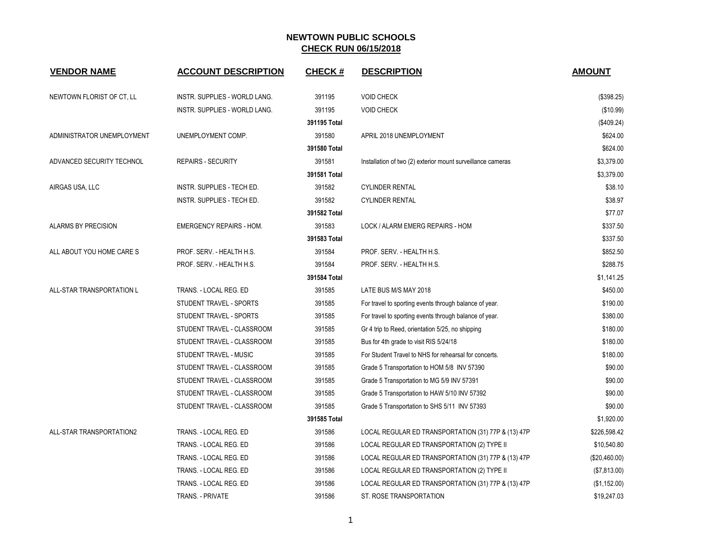| <b>VENDOR NAME</b>         | <b>ACCOUNT DESCRIPTION</b>           | <b>CHECK#</b> | <b>DESCRIPTION</b>                                          | <b>AMOUNT</b> |
|----------------------------|--------------------------------------|---------------|-------------------------------------------------------------|---------------|
|                            |                                      |               |                                                             |               |
| NEWTOWN FLORIST OF CT. LL  | INSTR. SUPPLIES - WORLD LANG.        | 391195        | <b>VOID CHECK</b>                                           | (\$398.25)    |
|                            | <b>INSTR. SUPPLIES - WORLD LANG.</b> | 391195        | <b>VOID CHECK</b>                                           | (\$10.99)     |
|                            |                                      | 391195 Total  |                                                             | (\$409.24)    |
| ADMINISTRATOR UNEMPLOYMENT | UNEMPLOYMENT COMP.                   | 391580        | APRIL 2018 UNEMPLOYMENT                                     | \$624.00      |
|                            |                                      | 391580 Total  |                                                             | \$624.00      |
| ADVANCED SECURITY TECHNOL  | <b>REPAIRS - SECURITY</b>            | 391581        | Installation of two (2) exterior mount surveillance cameras | \$3,379.00    |
|                            |                                      | 391581 Total  |                                                             | \$3,379.00    |
| AIRGAS USA, LLC            | INSTR. SUPPLIES - TECH ED.           | 391582        | <b>CYLINDER RENTAL</b>                                      | \$38.10       |
|                            | INSTR. SUPPLIES - TECH ED.           | 391582        | <b>CYLINDER RENTAL</b>                                      | \$38.97       |
|                            |                                      | 391582 Total  |                                                             | \$77.07       |
| ALARMS BY PRECISION        | <b>EMERGENCY REPAIRS - HOM.</b>      | 391583        | LOCK / ALARM EMERG REPAIRS - HOM                            | \$337.50      |
|                            |                                      | 391583 Total  |                                                             | \$337.50      |
| ALL ABOUT YOU HOME CARE S  | PROF. SERV. - HEALTH H.S.            | 391584        | PROF. SERV. - HEALTH H.S.                                   | \$852.50      |
|                            | PROF. SERV. - HEALTH H.S.            | 391584        | PROF. SERV. - HEALTH H.S.                                   | \$288.75      |
|                            |                                      | 391584 Total  |                                                             | \$1,141.25    |
| ALL-STAR TRANSPORTATION L  | TRANS. - LOCAL REG. ED               | 391585        | LATE BUS M/S MAY 2018                                       | \$450.00      |
|                            | STUDENT TRAVEL - SPORTS              | 391585        | For travel to sporting events through balance of year.      | \$190.00      |
|                            | STUDENT TRAVEL - SPORTS              | 391585        | For travel to sporting events through balance of year.      | \$380.00      |
|                            | STUDENT TRAVEL - CLASSROOM           | 391585        | Gr 4 trip to Reed, orientation 5/25, no shipping            | \$180.00      |
|                            | STUDENT TRAVEL - CLASSROOM           | 391585        | Bus for 4th grade to visit RIS 5/24/18                      | \$180.00      |
|                            | STUDENT TRAVEL - MUSIC               | 391585        | For Student Travel to NHS for rehearsal for concerts.       | \$180.00      |
|                            | STUDENT TRAVEL - CLASSROOM           | 391585        | Grade 5 Transportation to HOM 5/8 INV 57390                 | \$90.00       |
|                            | STUDENT TRAVEL - CLASSROOM           | 391585        | Grade 5 Transportation to MG 5/9 INV 57391                  | \$90.00       |
|                            | STUDENT TRAVEL - CLASSROOM           | 391585        | Grade 5 Transportation to HAW 5/10 INV 57392                | \$90.00       |
|                            | STUDENT TRAVEL - CLASSROOM           | 391585        | Grade 5 Transportation to SHS 5/11 INV 57393                | \$90.00       |
|                            |                                      | 391585 Total  |                                                             | \$1,920.00    |
| ALL-STAR TRANSPORTATION2   | TRANS. - LOCAL REG. ED               | 391586        | LOCAL REGULAR ED TRANSPORTATION (31) 77P & (13) 47P         | \$226,598.42  |
|                            | TRANS. - LOCAL REG. ED               | 391586        | LOCAL REGULAR ED TRANSPORTATION (2) TYPE II                 | \$10,540.80   |
|                            | TRANS. - LOCAL REG. ED               | 391586        | LOCAL REGULAR ED TRANSPORTATION (31) 77P & (13) 47P         | (\$20,460.00) |
|                            | TRANS. - LOCAL REG. ED               | 391586        | LOCAL REGULAR ED TRANSPORTATION (2) TYPE II                 | (\$7,813.00)  |
|                            | TRANS. - LOCAL REG. ED               | 391586        | LOCAL REGULAR ED TRANSPORTATION (31) 77P & (13) 47P         | (\$1,152.00)  |
|                            | TRANS. - PRIVATE                     | 391586        | ST. ROSE TRANSPORTATION                                     | \$19,247.03   |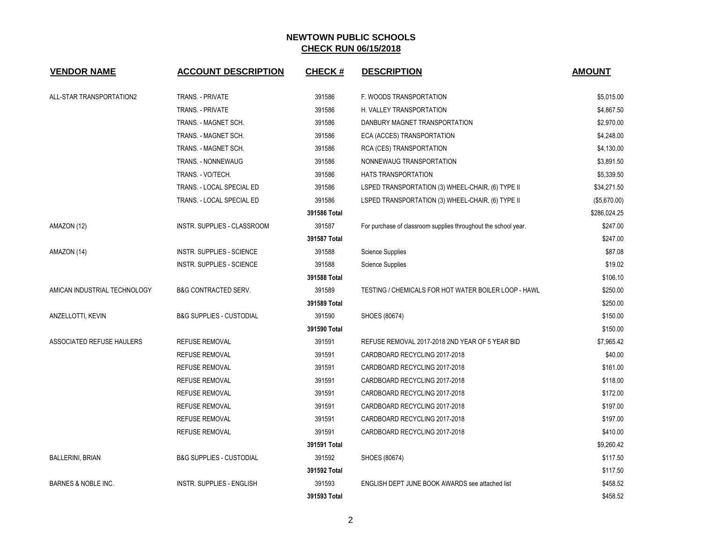| <b>VENDOR NAME</b>             | <b>ACCOUNT DESCRIPTION</b>          | <b>CHECK#</b> | <b>DESCRIPTION</b>                                             | <b>AMOUNT</b> |
|--------------------------------|-------------------------------------|---------------|----------------------------------------------------------------|---------------|
| ALL-STAR TRANSPORTATION2       |                                     | 391586        |                                                                |               |
|                                | TRANS. - PRIVATE                    |               | F. WOODS TRANSPORTATION                                        | \$5,015.00    |
|                                | TRANS. - PRIVATE                    | 391586        | H. VALLEY TRANSPORTATION                                       | \$4,867.50    |
|                                | TRANS. - MAGNET SCH.                | 391586        | DANBURY MAGNET TRANSPORTATION                                  | \$2,970.00    |
|                                | TRANS. - MAGNET SCH.                | 391586        | ECA (ACCES) TRANSPORTATION                                     | \$4,248.00    |
|                                | TRANS. - MAGNET SCH.                | 391586        | RCA (CES) TRANSPORTATION                                       | \$4,130.00    |
|                                | <b>TRANS. - NONNEWAUG</b>           | 391586        | NONNEWAUG TRANSPORTATION                                       | \$3,891.50    |
|                                | TRANS. - VO/TECH.                   | 391586        | HATS TRANSPORTATION                                            | \$5,339.50    |
|                                | TRANS. - LOCAL SPECIAL ED           | 391586        | LSPED TRANSPORTATION (3) WHEEL-CHAIR, (6) TYPE II              | \$34,271.50   |
|                                | TRANS. - LOCAL SPECIAL ED           | 391586        | LSPED TRANSPORTATION (3) WHEEL-CHAIR, (6) TYPE II              | (\$5,670.00)  |
|                                |                                     | 391586 Total  |                                                                | \$286,024.25  |
| AMAZON (12)                    | INSTR. SUPPLIES - CLASSROOM         | 391587        | For purchase of classroom supplies throughout the school year. | \$247.00      |
|                                |                                     | 391587 Total  |                                                                | \$247.00      |
| AMAZON (14)                    | INSTR. SUPPLIES - SCIENCE           | 391588        | Science Supplies                                               | \$87.08       |
|                                | INSTR. SUPPLIES - SCIENCE           | 391588        | Science Supplies                                               | \$19.02       |
|                                |                                     | 391588 Total  |                                                                | \$106.10      |
| AMICAN INDUSTRIAL TECHNOLOGY   | <b>B&amp;G CONTRACTED SERV.</b>     | 391589        | TESTING / CHEMICALS FOR HOT WATER BOILER LOOP - HAWL           | \$250.00      |
|                                |                                     | 391589 Total  |                                                                | \$250.00      |
| ANZELLOTTI, KEVIN              | <b>B&amp;G SUPPLIES - CUSTODIAL</b> | 391590        | SHOES (80674)                                                  | \$150.00      |
|                                |                                     | 391590 Total  |                                                                | \$150.00      |
| ASSOCIATED REFUSE HAULERS      | <b>REFUSE REMOVAL</b>               | 391591        | REFUSE REMOVAL 2017-2018 2ND YEAR OF 5 YEAR BID                | \$7,965.42    |
|                                | <b>REFUSE REMOVAL</b>               | 391591        | CARDBOARD RECYCLING 2017-2018                                  | \$40.00       |
|                                | <b>REFUSE REMOVAL</b>               | 391591        | CARDBOARD RECYCLING 2017-2018                                  | \$161.00      |
|                                | <b>REFUSE REMOVAL</b>               | 391591        | CARDBOARD RECYCLING 2017-2018                                  | \$118.00      |
|                                | <b>REFUSE REMOVAL</b>               | 391591        | CARDBOARD RECYCLING 2017-2018                                  | \$172.00      |
|                                | <b>REFUSE REMOVAL</b>               | 391591        | CARDBOARD RECYCLING 2017-2018                                  | \$197.00      |
|                                | <b>REFUSE REMOVAL</b>               | 391591        | CARDBOARD RECYCLING 2017-2018                                  | \$197.00      |
|                                | <b>REFUSE REMOVAL</b>               | 391591        | CARDBOARD RECYCLING 2017-2018                                  | \$410.00      |
|                                |                                     | 391591 Total  |                                                                | \$9,260.42    |
| <b>BALLERINI, BRIAN</b>        | <b>B&amp;G SUPPLIES - CUSTODIAL</b> | 391592        | SHOES (80674)                                                  | \$117.50      |
|                                |                                     | 391592 Total  |                                                                | \$117.50      |
| <b>BARNES &amp; NOBLE INC.</b> | INSTR. SUPPLIES - ENGLISH           | 391593        | ENGLISH DEPT JUNE BOOK AWARDS see attached list                | \$458.52      |
|                                |                                     | 391593 Total  |                                                                | \$458.52      |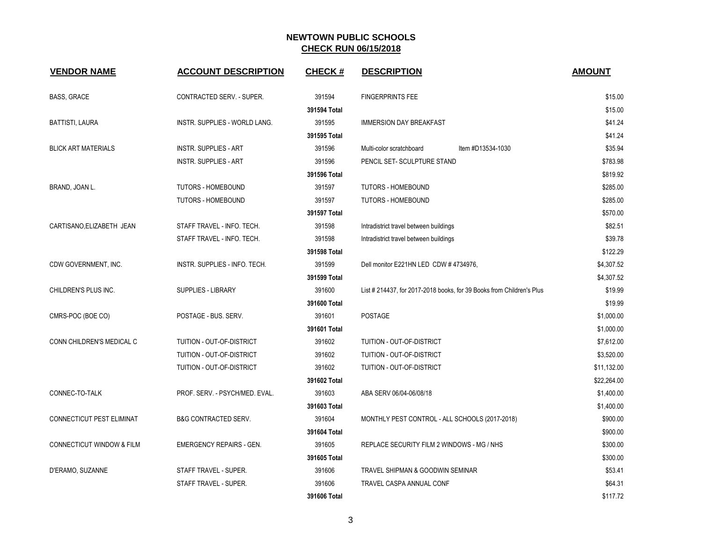| <b>VENDOR NAME</b>                   | <b>ACCOUNT DESCRIPTION</b>      | <b>CHECK#</b> | <b>DESCRIPTION</b>                                                    | <b>AMOUNT</b> |
|--------------------------------------|---------------------------------|---------------|-----------------------------------------------------------------------|---------------|
| <b>BASS, GRACE</b>                   | CONTRACTED SERV. - SUPER.       | 391594        | <b>FINGERPRINTS FEE</b>                                               | \$15.00       |
|                                      |                                 | 391594 Total  |                                                                       | \$15.00       |
| <b>BATTISTI, LAURA</b>               | INSTR. SUPPLIES - WORLD LANG.   | 391595        | <b>IMMERSION DAY BREAKFAST</b>                                        | \$41.24       |
|                                      |                                 | 391595 Total  |                                                                       | \$41.24       |
| <b>BLICK ART MATERIALS</b>           | <b>INSTR. SUPPLIES - ART</b>    | 391596        | Item #D13534-1030<br>Multi-color scratchboard                         | \$35.94       |
|                                      | <b>INSTR. SUPPLIES - ART</b>    | 391596        | PENCIL SET-SCULPTURE STAND                                            | \$783.98      |
|                                      |                                 | 391596 Total  |                                                                       | \$819.92      |
| BRAND, JOAN L.                       | TUTORS - HOMEBOUND              | 391597        | <b>TUTORS - HOMEBOUND</b>                                             | \$285.00      |
|                                      | TUTORS - HOMEBOUND              | 391597        | <b>TUTORS - HOMEBOUND</b>                                             | \$285.00      |
|                                      |                                 | 391597 Total  |                                                                       | \$570.00      |
| CARTISANO, ELIZABETH JEAN            | STAFF TRAVEL - INFO. TECH.      | 391598        | Intradistrict travel between buildings                                | \$82.51       |
|                                      | STAFF TRAVEL - INFO. TECH.      | 391598        | Intradistrict travel between buildings                                | \$39.78       |
|                                      |                                 | 391598 Total  |                                                                       | \$122.29      |
| CDW GOVERNMENT, INC.                 | INSTR. SUPPLIES - INFO. TECH.   | 391599        | Dell monitor E221HN LED CDW #4734976,                                 | \$4,307.52    |
|                                      |                                 | 391599 Total  |                                                                       | \$4,307.52    |
| CHILDREN'S PLUS INC.                 | SUPPLIES - LIBRARY              | 391600        | List # 214437, for 2017-2018 books, for 39 Books from Children's Plus | \$19.99       |
|                                      |                                 | 391600 Total  |                                                                       | \$19.99       |
| CMRS-POC (BOE CO)                    | POSTAGE - BUS. SERV.            | 391601        | POSTAGE                                                               | \$1,000.00    |
|                                      |                                 | 391601 Total  |                                                                       | \$1,000.00    |
| CONN CHILDREN'S MEDICAL C            | TUITION - OUT-OF-DISTRICT       | 391602        | TUITION - OUT-OF-DISTRICT                                             | \$7,612.00    |
|                                      | TUITION - OUT-OF-DISTRICT       | 391602        | TUITION - OUT-OF-DISTRICT                                             | \$3,520.00    |
|                                      | TUITION - OUT-OF-DISTRICT       | 391602        | TUITION - OUT-OF-DISTRICT                                             | \$11,132.00   |
|                                      |                                 | 391602 Total  |                                                                       | \$22,264.00   |
| CONNEC-TO-TALK                       | PROF. SERV. - PSYCH/MED. EVAL.  | 391603        | ABA SERV 06/04-06/08/18                                               | \$1,400.00    |
|                                      |                                 | 391603 Total  |                                                                       | \$1,400.00    |
| CONNECTICUT PEST ELIMINAT            | <b>B&amp;G CONTRACTED SERV.</b> | 391604        | MONTHLY PEST CONTROL - ALL SCHOOLS (2017-2018)                        | \$900.00      |
|                                      |                                 | 391604 Total  |                                                                       | \$900.00      |
| <b>CONNECTICUT WINDOW &amp; FILM</b> | <b>EMERGENCY REPAIRS - GEN.</b> | 391605        | REPLACE SECURITY FILM 2 WINDOWS - MG / NHS                            | \$300.00      |
|                                      |                                 | 391605 Total  |                                                                       | \$300.00      |
| D'ERAMO, SUZANNE                     | STAFF TRAVEL - SUPER.           | 391606        | TRAVEL SHIPMAN & GOODWIN SEMINAR                                      | \$53.41       |
|                                      | STAFF TRAVEL - SUPER.           | 391606        | TRAVEL CASPA ANNUAL CONF                                              | \$64.31       |
|                                      |                                 | 391606 Total  |                                                                       | \$117.72      |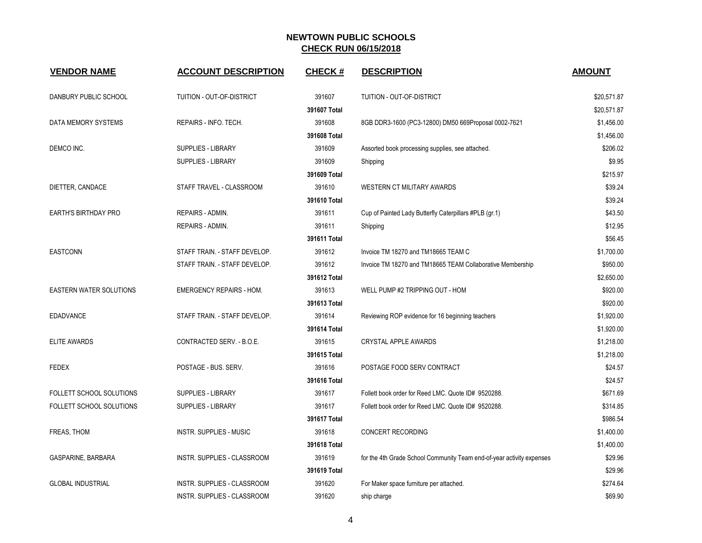| <b>VENDOR NAME</b>             | <b>ACCOUNT DESCRIPTION</b>      | <b>CHECK#</b> | <b>DESCRIPTION</b>                                                    | <b>AMOUNT</b> |
|--------------------------------|---------------------------------|---------------|-----------------------------------------------------------------------|---------------|
| DANBURY PUBLIC SCHOOL          | TUITION - OUT-OF-DISTRICT       | 391607        | TUITION - OUT-OF-DISTRICT                                             | \$20,571.87   |
|                                |                                 | 391607 Total  |                                                                       | \$20,571.87   |
| DATA MEMORY SYSTEMS            | REPAIRS - INFO. TECH.           | 391608        | 8GB DDR3-1600 (PC3-12800) DM50 669Proposal 0002-7621                  | \$1,456.00    |
|                                |                                 | 391608 Total  |                                                                       | \$1,456.00    |
| DEMCO INC.                     | <b>SUPPLIES - LIBRARY</b>       | 391609        | Assorted book processing supplies, see attached.                      | \$206.02      |
|                                | SUPPLIES - LIBRARY              | 391609        | Shipping                                                              | \$9.95        |
|                                |                                 | 391609 Total  |                                                                       | \$215.97      |
| DIETTER, CANDACE               | STAFF TRAVEL - CLASSROOM        | 391610        | <b>WESTERN CT MILITARY AWARDS</b>                                     | \$39.24       |
|                                |                                 | 391610 Total  |                                                                       | \$39.24       |
| <b>EARTH'S BIRTHDAY PRO</b>    | REPAIRS - ADMIN.                | 391611        | Cup of Painted Lady Butterfly Caterpillars #PLB (gr.1)                | \$43.50       |
|                                | REPAIRS - ADMIN.                | 391611        | Shipping                                                              | \$12.95       |
|                                |                                 | 391611 Total  |                                                                       | \$56.45       |
| EASTCONN                       | STAFF TRAIN. - STAFF DEVELOP.   | 391612        | Invoice TM 18270 and TM18665 TEAM C                                   | \$1,700.00    |
|                                | STAFF TRAIN. - STAFF DEVELOP.   | 391612        | Invoice TM 18270 and TM18665 TEAM Collaborative Membership            | \$950.00      |
|                                |                                 | 391612 Total  |                                                                       | \$2,650.00    |
| <b>EASTERN WATER SOLUTIONS</b> | <b>EMERGENCY REPAIRS - HOM.</b> | 391613        | WELL PUMP #2 TRIPPING OUT - HOM                                       | \$920.00      |
|                                |                                 | 391613 Total  |                                                                       | \$920.00      |
| <b>EDADVANCE</b>               | STAFF TRAIN. - STAFF DEVELOP.   | 391614        | Reviewing ROP evidence for 16 beginning teachers                      | \$1,920.00    |
|                                |                                 | 391614 Total  |                                                                       | \$1,920.00    |
| <b>ELITE AWARDS</b>            | CONTRACTED SERV. - B.O.E.       | 391615        | <b>CRYSTAL APPLE AWARDS</b>                                           | \$1,218.00    |
|                                |                                 | 391615 Total  |                                                                       | \$1,218.00    |
| <b>FEDEX</b>                   | POSTAGE - BUS, SERV.            | 391616        | POSTAGE FOOD SERV CONTRACT                                            | \$24.57       |
|                                |                                 | 391616 Total  |                                                                       | \$24.57       |
| FOLLETT SCHOOL SOLUTIONS       | <b>SUPPLIES - LIBRARY</b>       | 391617        | Follett book order for Reed LMC. Quote ID# 9520288.                   | \$671.69      |
| FOLLETT SCHOOL SOLUTIONS       | SUPPLIES - LIBRARY              | 391617        | Follett book order for Reed LMC. Quote ID# 9520288.                   | \$314.85      |
|                                |                                 | 391617 Total  |                                                                       | \$986.54      |
| FREAS, THOM                    | <b>INSTR. SUPPLIES - MUSIC</b>  | 391618        | <b>CONCERT RECORDING</b>                                              | \$1,400.00    |
|                                |                                 | 391618 Total  |                                                                       | \$1,400.00    |
| GASPARINE, BARBARA             | INSTR. SUPPLIES - CLASSROOM     | 391619        | for the 4th Grade School Community Team end-of-year activity expenses | \$29.96       |
|                                |                                 | 391619 Total  |                                                                       | \$29.96       |
| <b>GLOBAL INDUSTRIAL</b>       | INSTR. SUPPLIES - CLASSROOM     | 391620        | For Maker space furniture per attached.                               | \$274.64      |
|                                | INSTR. SUPPLIES - CLASSROOM     | 391620        | ship charge                                                           | \$69.90       |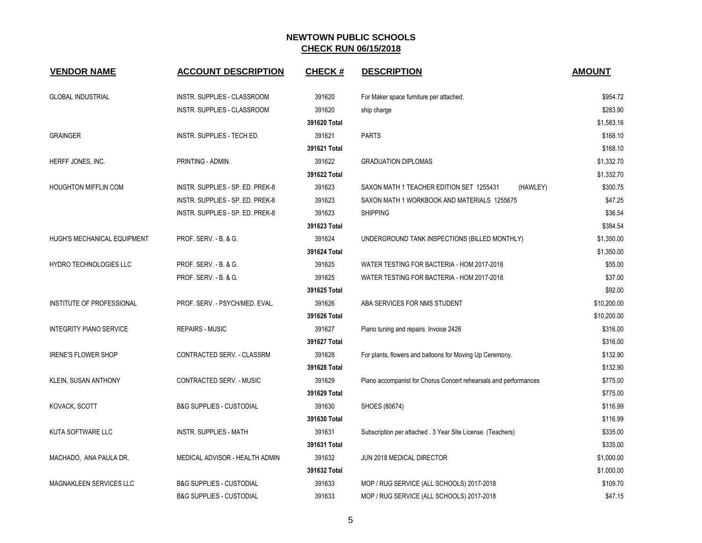| <b>VENDOR NAME</b>             | <b>ACCOUNT DESCRIPTION</b>          | <b>CHECK#</b> | <b>DESCRIPTION</b>                                               | <b>AMOUNT</b> |
|--------------------------------|-------------------------------------|---------------|------------------------------------------------------------------|---------------|
| <b>GLOBAL INDUSTRIAL</b>       | INSTR. SUPPLIES - CLASSROOM         | 391620        | For Maker space furniture per attached.                          | \$954.72      |
|                                | INSTR. SUPPLIES - CLASSROOM         | 391620        | ship charge                                                      | \$283.90      |
|                                |                                     | 391620 Total  |                                                                  | \$1,583.16    |
| <b>GRAINGER</b>                | INSTR. SUPPLIES - TECH ED.          | 391621        | <b>PARTS</b>                                                     | \$168.10      |
|                                |                                     | 391621 Total  |                                                                  | \$168.10      |
| HERFF JONES, INC.              | PRINTING - ADMIN.                   | 391622        | <b>GRADUATION DIPLOMAS</b>                                       | \$1,332.70    |
|                                |                                     | 391622 Total  |                                                                  | \$1,332.70    |
| <b>HOUGHTON MIFFLIN COM</b>    | INSTR. SUPPLIES - SP. ED. PREK-8    | 391623        | SAXON MATH 1 TEACHER EDITION SET 1255431<br>(HAWLEY)             | \$300.75      |
|                                | INSTR. SUPPLIES - SP. ED. PREK-8    | 391623        | SAXON MATH 1 WORKBOOK AND MATERIALS 1255675                      | \$47.25       |
|                                | INSTR. SUPPLIES - SP. ED. PREK-8    | 391623        | <b>SHIPPING</b>                                                  | \$36.54       |
|                                |                                     | 391623 Total  |                                                                  | \$384.54      |
| HUGH'S MECHANICAL EQUIPMENT    | PROF. SERV. - B. & G.               | 391624        | UNDERGROUND TANK INSPECTIONS (BILLED MONTHLY)                    | \$1,350.00    |
|                                |                                     | 391624 Total  |                                                                  | \$1,350.00    |
| HYDRO TECHNOLOGIES LLC         | <b>PROF. SERV. - B. &amp; G.</b>    | 391625        | WATER TESTING FOR BACTERIA - HOM 2017-2018                       | \$55.00       |
|                                | PROF. SERV. - B. & G.               | 391625        | WATER TESTING FOR BACTERIA - HOM 2017-2018                       | \$37.00       |
|                                |                                     | 391625 Total  |                                                                  | \$92.00       |
| INSTITUTE OF PROFESSIONAL      | PROF. SERV. - PSYCH/MED. EVAL.      | 391626        | ABA SERVICES FOR NMS STUDENT                                     | \$10,200.00   |
|                                |                                     | 391626 Total  |                                                                  | \$10,200.00   |
| <b>INTEGRITY PIANO SERVICE</b> | <b>REPAIRS - MUSIC</b>              | 391627        | Piano tuning and repairs Invoice 2426                            | \$316.00      |
|                                |                                     | 391627 Total  |                                                                  | \$316.00      |
| <b>IRENE'S FLOWER SHOP</b>     | CONTRACTED SERV. - CLASSRM          | 391628        | For plants, flowers and balloons for Moving Up Ceremony.         | \$132.90      |
|                                |                                     | 391628 Total  |                                                                  | \$132.90      |
| KLEIN, SUSAN ANTHONY           | CONTRACTED SERV. - MUSIC            | 391629        | Piano accompanist for Chorus Concert rehearsals and performances | \$775.00      |
|                                |                                     | 391629 Total  |                                                                  | \$775.00      |
| KOVACK, SCOTT                  | <b>B&amp;G SUPPLIES - CUSTODIAL</b> | 391630        | SHOES (80674)                                                    | \$116.99      |
|                                |                                     | 391630 Total  |                                                                  | \$116.99      |
| KUTA SOFTWARE LLC              | <b>INSTR. SUPPLIES - MATH</b>       | 391631        | Subscription per attached . 3 Year Site License. (Teachers)      | \$335.00      |
|                                |                                     | 391631 Total  |                                                                  | \$335.00      |
| MACHADO, ANA PAULA DR.         | MEDICAL ADVISOR - HEALTH ADMIN      | 391632        | JUN 2018 MEDICAL DIRECTOR                                        | \$1,000.00    |
|                                |                                     | 391632 Total  |                                                                  | \$1,000.00    |
| MAGNAKLEEN SERVICES LLC        | <b>B&amp;G SUPPLIES - CUSTODIAL</b> | 391633        | MOP / RUG SERVICE (ALL SCHOOLS) 2017-2018                        | \$109.70      |
|                                | <b>B&amp;G SUPPLIES - CUSTODIAL</b> | 391633        | MOP / RUG SERVICE (ALL SCHOOLS) 2017-2018                        | \$47.15       |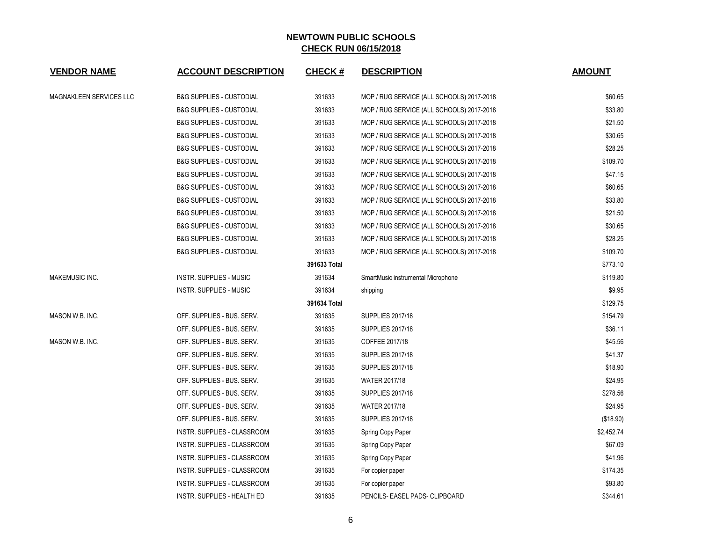| <b>VENDOR NAME</b>             | <b>ACCOUNT DESCRIPTION</b>          | <b>CHECK#</b> | <b>DESCRIPTION</b>                        | <b>AMOUNT</b> |
|--------------------------------|-------------------------------------|---------------|-------------------------------------------|---------------|
| <b>MAGNAKLEEN SERVICES LLC</b> | <b>B&amp;G SUPPLIES - CUSTODIAL</b> | 391633        | MOP / RUG SERVICE (ALL SCHOOLS) 2017-2018 | \$60.65       |
|                                | <b>B&amp;G SUPPLIES - CUSTODIAL</b> | 391633        | MOP / RUG SERVICE (ALL SCHOOLS) 2017-2018 | \$33.80       |
|                                | <b>B&amp;G SUPPLIES - CUSTODIAL</b> | 391633        | MOP / RUG SERVICE (ALL SCHOOLS) 2017-2018 | \$21.50       |
|                                | <b>B&amp;G SUPPLIES - CUSTODIAL</b> | 391633        | MOP / RUG SERVICE (ALL SCHOOLS) 2017-2018 | \$30.65       |
|                                | <b>B&amp;G SUPPLIES - CUSTODIAL</b> | 391633        | MOP / RUG SERVICE (ALL SCHOOLS) 2017-2018 | \$28.25       |
|                                | <b>B&amp;G SUPPLIES - CUSTODIAL</b> | 391633        | MOP / RUG SERVICE (ALL SCHOOLS) 2017-2018 | \$109.70      |
|                                | <b>B&amp;G SUPPLIES - CUSTODIAL</b> | 391633        | MOP / RUG SERVICE (ALL SCHOOLS) 2017-2018 | \$47.15       |
|                                | <b>B&amp;G SUPPLIES - CUSTODIAL</b> | 391633        | MOP / RUG SERVICE (ALL SCHOOLS) 2017-2018 | \$60.65       |
|                                | <b>B&amp;G SUPPLIES - CUSTODIAL</b> | 391633        | MOP / RUG SERVICE (ALL SCHOOLS) 2017-2018 | \$33.80       |
|                                | <b>B&amp;G SUPPLIES - CUSTODIAL</b> | 391633        | MOP / RUG SERVICE (ALL SCHOOLS) 2017-2018 | \$21.50       |
|                                | <b>B&amp;G SUPPLIES - CUSTODIAL</b> | 391633        | MOP / RUG SERVICE (ALL SCHOOLS) 2017-2018 | \$30.65       |
|                                | <b>B&amp;G SUPPLIES - CUSTODIAL</b> | 391633        | MOP / RUG SERVICE (ALL SCHOOLS) 2017-2018 | \$28.25       |
|                                | <b>B&amp;G SUPPLIES - CUSTODIAL</b> | 391633        | MOP / RUG SERVICE (ALL SCHOOLS) 2017-2018 | \$109.70      |
|                                |                                     | 391633 Total  |                                           | \$773.10      |
| <b>MAKEMUSIC INC.</b>          | <b>INSTR. SUPPLIES - MUSIC</b>      | 391634        | SmartMusic instrumental Microphone        | \$119.80      |
|                                | INSTR. SUPPLIES - MUSIC             | 391634        | shipping                                  | \$9.95        |
|                                |                                     | 391634 Total  |                                           | \$129.75      |
| MASON W.B. INC.                | OFF. SUPPLIES - BUS. SERV.          | 391635        | <b>SUPPLIES 2017/18</b>                   | \$154.79      |
|                                | OFF. SUPPLIES - BUS. SERV.          | 391635        | <b>SUPPLIES 2017/18</b>                   | \$36.11       |
| MASON W.B. INC.                | OFF. SUPPLIES - BUS. SERV.          | 391635        | COFFEE 2017/18                            | \$45.56       |
|                                | OFF. SUPPLIES - BUS. SERV.          | 391635        | <b>SUPPLIES 2017/18</b>                   | \$41.37       |
|                                | OFF. SUPPLIES - BUS. SERV.          | 391635        | <b>SUPPLIES 2017/18</b>                   | \$18.90       |
|                                | OFF. SUPPLIES - BUS. SERV.          | 391635        | WATER 2017/18                             | \$24.95       |
|                                | OFF. SUPPLIES - BUS. SERV.          | 391635        | <b>SUPPLIES 2017/18</b>                   | \$278.56      |
|                                | OFF. SUPPLIES - BUS. SERV.          | 391635        | <b>WATER 2017/18</b>                      | \$24.95       |
|                                | OFF. SUPPLIES - BUS. SERV.          | 391635        | <b>SUPPLIES 2017/18</b>                   | (\$18.90)     |
|                                | INSTR. SUPPLIES - CLASSROOM         | 391635        | Spring Copy Paper                         | \$2,452.74    |
|                                | INSTR. SUPPLIES - CLASSROOM         | 391635        | Spring Copy Paper                         | \$67.09       |
|                                | INSTR. SUPPLIES - CLASSROOM         | 391635        | Spring Copy Paper                         | \$41.96       |
|                                | INSTR. SUPPLIES - CLASSROOM         | 391635        | For copier paper                          | \$174.35      |
|                                | INSTR. SUPPLIES - CLASSROOM         | 391635        | For copier paper                          | \$93.80       |
|                                | INSTR. SUPPLIES - HEALTH ED         | 391635        | PENCILS- EASEL PADS- CLIPBOARD            | \$344.61      |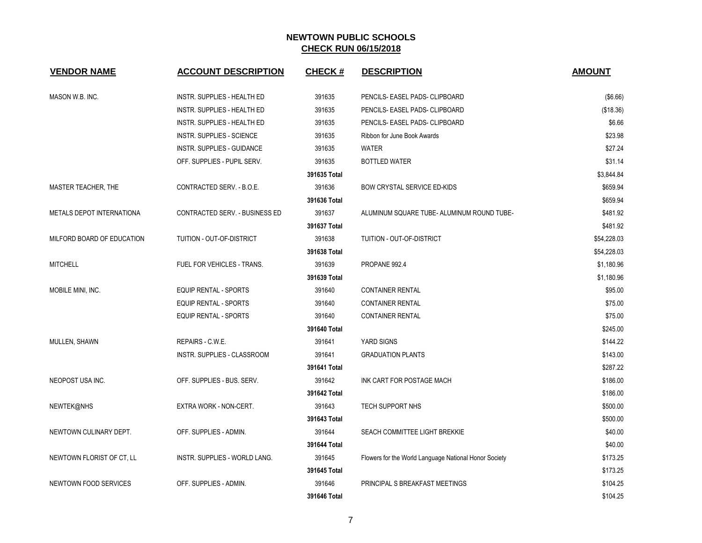| <b>VENDOR NAME</b>         | <b>ACCOUNT DESCRIPTION</b>       | <b>CHECK#</b> | <b>DESCRIPTION</b>                                    | <b>AMOUNT</b> |
|----------------------------|----------------------------------|---------------|-------------------------------------------------------|---------------|
| MASON W.B. INC.            | INSTR. SUPPLIES - HEALTH ED      | 391635        | PENCILS- EASEL PADS- CLIPBOARD                        | (\$6.66)      |
|                            | INSTR. SUPPLIES - HEALTH ED      | 391635        | PENCILS- EASEL PADS- CLIPBOARD                        | (\$18.36)     |
|                            | INSTR. SUPPLIES - HEALTH ED      | 391635        | PENCILS- EASEL PADS- CLIPBOARD                        | \$6.66        |
|                            | <b>INSTR. SUPPLIES - SCIENCE</b> | 391635        | Ribbon for June Book Awards                           | \$23.98       |
|                            | INSTR. SUPPLIES - GUIDANCE       | 391635        | <b>WATER</b>                                          | \$27.24       |
|                            | OFF. SUPPLIES - PUPIL SERV.      | 391635        | <b>BOTTLED WATER</b>                                  | \$31.14       |
|                            |                                  | 391635 Total  |                                                       | \$3,844.84    |
| MASTER TEACHER, THE        | CONTRACTED SERV. - B.O.E.        | 391636        | <b>BOW CRYSTAL SERVICE ED-KIDS</b>                    | \$659.94      |
|                            |                                  | 391636 Total  |                                                       | \$659.94      |
| METALS DEPOT INTERNATIONA  | CONTRACTED SERV. - BUSINESS ED   | 391637        | ALUMINUM SQUARE TUBE- ALUMINUM ROUND TUBE-            | \$481.92      |
|                            |                                  | 391637 Total  |                                                       | \$481.92      |
| MILFORD BOARD OF EDUCATION | TUITION - OUT-OF-DISTRICT        | 391638        | TUITION - OUT-OF-DISTRICT                             | \$54,228.03   |
|                            |                                  | 391638 Total  |                                                       | \$54,228.03   |
| <b>MITCHELL</b>            | FUEL FOR VEHICLES - TRANS.       | 391639        | PROPANE 992.4                                         | \$1,180.96    |
|                            |                                  | 391639 Total  |                                                       | \$1,180.96    |
| MOBILE MINI, INC.          | <b>EQUIP RENTAL - SPORTS</b>     | 391640        | <b>CONTAINER RENTAL</b>                               | \$95.00       |
|                            | EQUIP RENTAL - SPORTS            | 391640        | <b>CONTAINER RENTAL</b>                               | \$75.00       |
|                            | EQUIP RENTAL - SPORTS            | 391640        | <b>CONTAINER RENTAL</b>                               | \$75.00       |
|                            |                                  | 391640 Total  |                                                       | \$245.00      |
| MULLEN, SHAWN              | REPAIRS - C.W.E.                 | 391641        | YARD SIGNS                                            | \$144.22      |
|                            | INSTR. SUPPLIES - CLASSROOM      | 391641        | <b>GRADUATION PLANTS</b>                              | \$143.00      |
|                            |                                  | 391641 Total  |                                                       | \$287.22      |
| NEOPOST USA INC.           | OFF. SUPPLIES - BUS. SERV.       | 391642        | INK CART FOR POSTAGE MACH                             | \$186.00      |
|                            |                                  | 391642 Total  |                                                       | \$186.00      |
| NEWTEK@NHS                 | EXTRA WORK - NON-CERT.           | 391643        | TECH SUPPORT NHS                                      | \$500.00      |
|                            |                                  | 391643 Total  |                                                       | \$500.00      |
| NEWTOWN CULINARY DEPT.     | OFF. SUPPLIES - ADMIN.           | 391644        | SEACH COMMITTEE LIGHT BREKKIE                         | \$40.00       |
|                            |                                  | 391644 Total  |                                                       | \$40.00       |
| NEWTOWN FLORIST OF CT. LL  | INSTR. SUPPLIES - WORLD LANG.    | 391645        | Flowers for the World Language National Honor Society | \$173.25      |
|                            |                                  | 391645 Total  |                                                       | \$173.25      |
| NEWTOWN FOOD SERVICES      | OFF. SUPPLIES - ADMIN.           | 391646        | PRINCIPAL S BREAKFAST MEETINGS                        | \$104.25      |
|                            |                                  | 391646 Total  |                                                       | \$104.25      |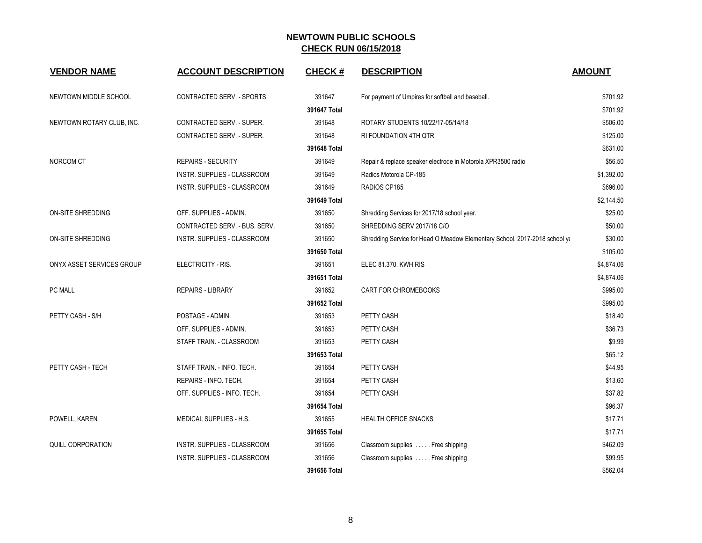| <b>VENDOR NAME</b>        | <b>ACCOUNT DESCRIPTION</b>         | <b>CHECK#</b> | <b>DESCRIPTION</b>                                                         | <b>AMOUNT</b> |
|---------------------------|------------------------------------|---------------|----------------------------------------------------------------------------|---------------|
| NEWTOWN MIDDLE SCHOOL     | CONTRACTED SERV. - SPORTS          | 391647        | For payment of Umpires for softball and baseball.                          | \$701.92      |
|                           |                                    | 391647 Total  |                                                                            | \$701.92      |
| NEWTOWN ROTARY CLUB, INC. | CONTRACTED SERV. - SUPER.          | 391648        | ROTARY STUDENTS 10/22/17-05/14/18                                          | \$506.00      |
|                           | CONTRACTED SERV. - SUPER.          | 391648        | RI FOUNDATION 4TH QTR                                                      | \$125.00      |
|                           |                                    | 391648 Total  |                                                                            | \$631.00      |
| NORCOM CT                 | <b>REPAIRS - SECURITY</b>          | 391649        | Repair & replace speaker electrode in Motorola XPR3500 radio               | \$56.50       |
|                           | INSTR. SUPPLIES - CLASSROOM        | 391649        | Radios Motorola CP-185                                                     | \$1,392.00    |
|                           | INSTR. SUPPLIES - CLASSROOM        | 391649        | RADIOS CP185                                                               | \$696.00      |
|                           |                                    | 391649 Total  |                                                                            | \$2,144.50    |
| ON-SITE SHREDDING         | OFF. SUPPLIES - ADMIN.             | 391650        | Shredding Services for 2017/18 school year.                                | \$25.00       |
|                           | CONTRACTED SERV. - BUS. SERV.      | 391650        | SHREDDING SERV 2017/18 C/O                                                 | \$50.00       |
| ON-SITE SHREDDING         | INSTR. SUPPLIES - CLASSROOM        | 391650        | Shredding Service for Head O Meadow Elementary School, 2017-2018 school ye | \$30.00       |
|                           |                                    | 391650 Total  |                                                                            | \$105.00      |
| ONYX ASSET SERVICES GROUP | ELECTRICITY - RIS.                 | 391651        | ELEC 81.370. KWH RIS                                                       | \$4,874.06    |
|                           |                                    | 391651 Total  |                                                                            | \$4,874.06    |
| PC MALL                   | <b>REPAIRS - LIBRARY</b>           | 391652        | CART FOR CHROMEBOOKS                                                       | \$995.00      |
|                           |                                    | 391652 Total  |                                                                            | \$995.00      |
| PETTY CASH - S/H          | POSTAGE - ADMIN.                   | 391653        | PETTY CASH                                                                 | \$18.40       |
|                           | OFF. SUPPLIES - ADMIN.             | 391653        | PETTY CASH                                                                 | \$36.73       |
|                           | STAFF TRAIN. - CLASSROOM           | 391653        | PETTY CASH                                                                 | \$9.99        |
|                           |                                    | 391653 Total  |                                                                            | \$65.12       |
| PETTY CASH - TECH         | STAFF TRAIN. - INFO. TECH.         | 391654        | PETTY CASH                                                                 | \$44.95       |
|                           | REPAIRS - INFO. TECH.              | 391654        | PETTY CASH                                                                 | \$13.60       |
|                           | OFF. SUPPLIES - INFO. TECH.        | 391654        | PETTY CASH                                                                 | \$37.82       |
|                           |                                    | 391654 Total  |                                                                            | \$96.37       |
| POWELL, KAREN             | MEDICAL SUPPLIES - H.S.            | 391655        | <b>HEALTH OFFICE SNACKS</b>                                                | \$17.71       |
|                           |                                    | 391655 Total  |                                                                            | \$17.71       |
| QUILL CORPORATION         | INSTR. SUPPLIES - CLASSROOM        | 391656        | Classroom supplies  Free shipping                                          | \$462.09      |
|                           | <b>INSTR. SUPPLIES - CLASSROOM</b> | 391656        | Classroom supplies  Free shipping                                          | \$99.95       |
|                           |                                    | 391656 Total  |                                                                            | \$562.04      |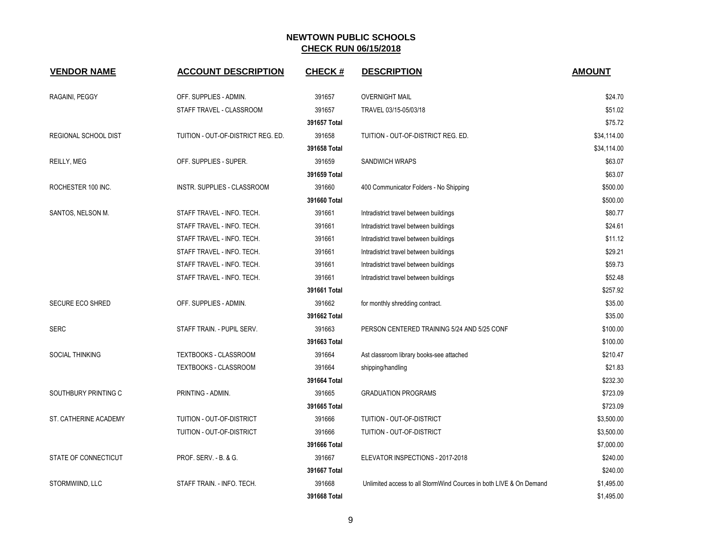| <b>VENDOR NAME</b>      | <b>ACCOUNT DESCRIPTION</b>         | <b>CHECK#</b> | <b>DESCRIPTION</b>                                                 | <b>AMOUNT</b> |
|-------------------------|------------------------------------|---------------|--------------------------------------------------------------------|---------------|
| RAGAINI, PEGGY          | OFF. SUPPLIES - ADMIN.             | 391657        | <b>OVERNIGHT MAIL</b>                                              | \$24.70       |
|                         | STAFF TRAVEL - CLASSROOM           | 391657        | TRAVEL 03/15-05/03/18                                              | \$51.02       |
|                         |                                    | 391657 Total  |                                                                    | \$75.72       |
| REGIONAL SCHOOL DIST    | TUITION - OUT-OF-DISTRICT REG. ED. | 391658        | TUITION - OUT-OF-DISTRICT REG. ED.                                 | \$34,114.00   |
|                         |                                    | 391658 Total  |                                                                    | \$34,114.00   |
| <b>REILLY, MEG</b>      | OFF. SUPPLIES - SUPER.             | 391659        | SANDWICH WRAPS                                                     | \$63.07       |
|                         |                                    | 391659 Total  |                                                                    | \$63.07       |
| ROCHESTER 100 INC.      | INSTR. SUPPLIES - CLASSROOM        | 391660        | 400 Communicator Folders - No Shipping                             | \$500.00      |
|                         |                                    | 391660 Total  |                                                                    | \$500.00      |
| SANTOS, NELSON M.       | STAFF TRAVEL - INFO. TECH.         | 391661        | Intradistrict travel between buildings                             | \$80.77       |
|                         | STAFF TRAVEL - INFO. TECH.         | 391661        | Intradistrict travel between buildings                             | \$24.61       |
|                         | STAFF TRAVEL - INFO. TECH.         | 391661        | Intradistrict travel between buildings                             | \$11.12       |
|                         | STAFF TRAVEL - INFO. TECH.         | 391661        | Intradistrict travel between buildings                             | \$29.21       |
|                         | STAFF TRAVEL - INFO. TECH.         | 391661        | Intradistrict travel between buildings                             | \$59.73       |
|                         | STAFF TRAVEL - INFO. TECH.         | 391661        | Intradistrict travel between buildings                             | \$52.48       |
|                         |                                    | 391661 Total  |                                                                    | \$257.92      |
| <b>SECURE ECO SHRED</b> | OFF. SUPPLIES - ADMIN.             | 391662        | for monthly shredding contract.                                    | \$35.00       |
|                         |                                    | 391662 Total  |                                                                    | \$35.00       |
| <b>SERC</b>             | STAFF TRAIN. - PUPIL SERV.         | 391663        | PERSON CENTERED TRAINING 5/24 AND 5/25 CONF                        | \$100.00      |
|                         |                                    | 391663 Total  |                                                                    | \$100.00      |
| SOCIAL THINKING         | <b>TEXTBOOKS - CLASSROOM</b>       | 391664        | Ast classroom library books-see attached                           | \$210.47      |
|                         | TEXTBOOKS - CLASSROOM              | 391664        | shipping/handling                                                  | \$21.83       |
|                         |                                    | 391664 Total  |                                                                    | \$232.30      |
| SOUTHBURY PRINTING C    | PRINTING - ADMIN.                  | 391665        | <b>GRADUATION PROGRAMS</b>                                         | \$723.09      |
|                         |                                    | 391665 Total  |                                                                    | \$723.09      |
| ST. CATHERINE ACADEMY   | TUITION - OUT-OF-DISTRICT          | 391666        | TUITION - OUT-OF-DISTRICT                                          | \$3,500.00    |
|                         | TUITION - OUT-OF-DISTRICT          | 391666        | TUITION - OUT-OF-DISTRICT                                          | \$3,500.00    |
|                         |                                    | 391666 Total  |                                                                    | \$7,000.00    |
| STATE OF CONNECTICUT    | PROF. SERV. - B. & G.              | 391667        | ELEVATOR INSPECTIONS - 2017-2018                                   | \$240.00      |
|                         |                                    | 391667 Total  |                                                                    | \$240.00      |
| STORMWIIND, LLC         | STAFF TRAIN. - INFO. TECH.         | 391668        | Unlimited access to all StormWind Cources in both LIVE & On Demand | \$1,495.00    |
|                         |                                    | 391668 Total  |                                                                    | \$1,495.00    |